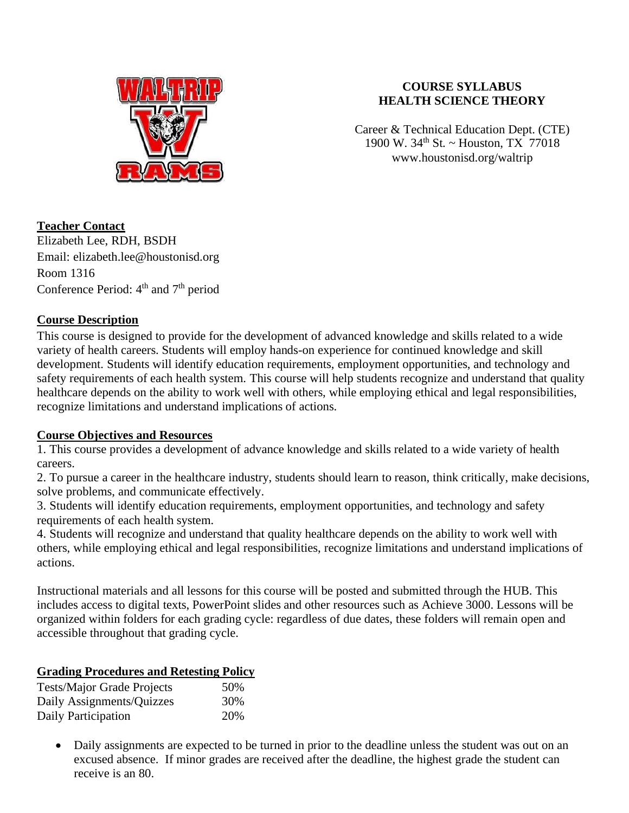

#### **COURSE SYLLABUS HEALTH SCIENCE THEORY**

Career & Technical Education Dept. (CTE) 1900 W.  $34^{th}$  St. ~ Houston, TX 77018 www.houstonisd.org/waltrip

## **Teacher Contact**

Elizabeth Lee, RDH, BSDH Email: elizabeth.lee@houstonisd.org Room 1316 Conference Period:  $4<sup>th</sup>$  and  $7<sup>th</sup>$  period

## **Course Description**

This course is designed to provide for the development of advanced knowledge and skills related to a wide variety of health careers. Students will employ hands-on experience for continued knowledge and skill development. Students will identify education requirements, employment opportunities, and technology and safety requirements of each health system. This course will help students recognize and understand that quality healthcare depends on the ability to work well with others, while employing ethical and legal responsibilities, recognize limitations and understand implications of actions.

# **Course Objectives and Resources**

1. This course provides a development of advance knowledge and skills related to a wide variety of health careers.

2. To pursue a career in the healthcare industry, students should learn to reason, think critically, make decisions, solve problems, and communicate effectively.

3. Students will identify education requirements, employment opportunities, and technology and safety requirements of each health system.

4. Students will recognize and understand that quality healthcare depends on the ability to work well with others, while employing ethical and legal responsibilities, recognize limitations and understand implications of actions.

Instructional materials and all lessons for this course will be posted and submitted through the HUB. This includes access to digital texts, PowerPoint slides and other resources such as Achieve 3000. Lessons will be organized within folders for each grading cycle: regardless of due dates, these folders will remain open and accessible throughout that grading cycle.

## **Grading Procedures and Retesting Policy**

| <b>Tests/Major Grade Projects</b> | 50% |
|-----------------------------------|-----|
| Daily Assignments/Quizzes         | 30% |
| Daily Participation               | 20% |

• Daily assignments are expected to be turned in prior to the deadline unless the student was out on an excused absence. If minor grades are received after the deadline, the highest grade the student can receive is an 80.